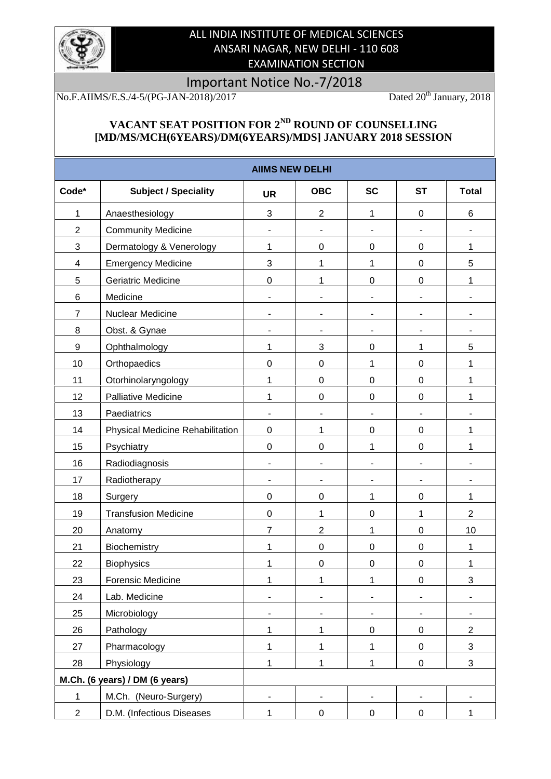

## ALL INDIA INSTITUTE OF MEDICAL SCIENCES ANSARI NAGAR, NEW DELHI - 110 608 EXAMINATION SECTION

## Important Notice No.-7/2018<br>I-2018)/2017 Dated 20<sup>th</sup> January, 2018

No.F.AIIMS/E.S./4-5/(PG-JAN-2018)/2017

## **VACANT SEAT POSITION FOR 2ND ROUND OF COUNSELLING [MD/MS/MCH(6YEARS)/DM(6YEARS)/MDS] JANUARY 2018 SESSION**

|                         |                                  | <b>AIIMS NEW DELHI</b>   |                  |                  |                  |                |
|-------------------------|----------------------------------|--------------------------|------------------|------------------|------------------|----------------|
| Code*                   | <b>Subject / Speciality</b>      | <b>UR</b>                | <b>OBC</b>       | <b>SC</b>        | <b>ST</b>        | <b>Total</b>   |
| 1                       | Anaesthesiology                  | 3                        | $\overline{2}$   | 1                | $\pmb{0}$        | 6              |
| $\overline{2}$          | <b>Community Medicine</b>        | $\overline{\phantom{0}}$ |                  |                  |                  |                |
| 3                       | Dermatology & Venerology         | 1                        | $\mathbf 0$      | $\pmb{0}$        | $\pmb{0}$        | 1              |
| $\overline{\mathbf{4}}$ | <b>Emergency Medicine</b>        | 3                        | 1                | 1                | $\pmb{0}$        | 5              |
| 5                       | Geriatric Medicine               | $\mathbf 0$              | 1                | $\boldsymbol{0}$ | $\pmb{0}$        | 1              |
| $\,6$                   | Medicine                         |                          |                  |                  |                  |                |
| $\overline{7}$          | Nuclear Medicine                 |                          |                  |                  |                  |                |
| 8                       | Obst. & Gynae                    |                          |                  |                  |                  |                |
| $\boldsymbol{9}$        | Ophthalmology                    | 1                        | 3                | $\pmb{0}$        | 1                | 5              |
| 10                      | Orthopaedics                     | $\mathbf 0$              | $\mathbf 0$      | 1                | $\boldsymbol{0}$ | 1              |
| 11                      | Otorhinolaryngology              | 1                        | $\mathbf 0$      | $\boldsymbol{0}$ | $\pmb{0}$        | 1              |
| 12                      | Palliative Medicine              | 1                        | $\mathbf 0$      | $\boldsymbol{0}$ | $\pmb{0}$        | 1              |
| 13                      | Paediatrics                      |                          |                  |                  |                  |                |
| 14                      | Physical Medicine Rehabilitation | $\mathbf 0$              | 1                | $\pmb{0}$        | $\pmb{0}$        | 1              |
| 15                      | Psychiatry                       | $\mathsf 0$              | $\mathbf 0$      | 1                | $\pmb{0}$        | 1              |
| 16                      | Radiodiagnosis                   |                          |                  |                  |                  |                |
| 17                      | Radiotherapy                     | $\overline{\phantom{a}}$ |                  |                  |                  |                |
| 18                      | Surgery                          | $\mathbf 0$              | $\boldsymbol{0}$ | 1                | $\pmb{0}$        | 1              |
| 19                      | <b>Transfusion Medicine</b>      | $\mathsf 0$              | 1                | $\boldsymbol{0}$ | 1                | $\overline{2}$ |
| 20                      | Anatomy                          | $\overline{7}$           | $\overline{2}$   | 1                | $\pmb{0}$        | 10             |
| 21                      | Biochemistry                     | 1                        | $\boldsymbol{0}$ | $\boldsymbol{0}$ | $\pmb{0}$        | 1              |
| 22                      | <b>Biophysics</b>                | 1                        | $\boldsymbol{0}$ | $\boldsymbol{0}$ | $\mathbf 0$      | 1              |
| 23                      | Forensic Medicine                | 1                        | 1                | 1                | $\mathbf 0$      | 3              |
| 24                      | Lab. Medicine                    |                          |                  |                  |                  |                |
| 25                      | Microbiology                     |                          |                  |                  |                  |                |
| 26                      | Pathology                        | 1                        | 1                | $\pmb{0}$        | $\pmb{0}$        | $\overline{2}$ |
| 27                      | Pharmacology                     | 1                        | $\mathbf{1}$     | 1                | $\pmb{0}$        | 3              |
| 28                      | Physiology                       | $\mathbf{1}$             | $\mathbf{1}$     | 1                | $\pmb{0}$        | 3              |
|                         | M.Ch. (6 years) / DM (6 years)   |                          |                  |                  |                  |                |
| $\mathbf 1$             | M.Ch. (Neuro-Surgery)            |                          |                  |                  |                  |                |
| $\overline{2}$          | D.M. (Infectious Diseases        | $\mathbf{1}$             | 0                | 0                | 0                | $\mathbf{1}$   |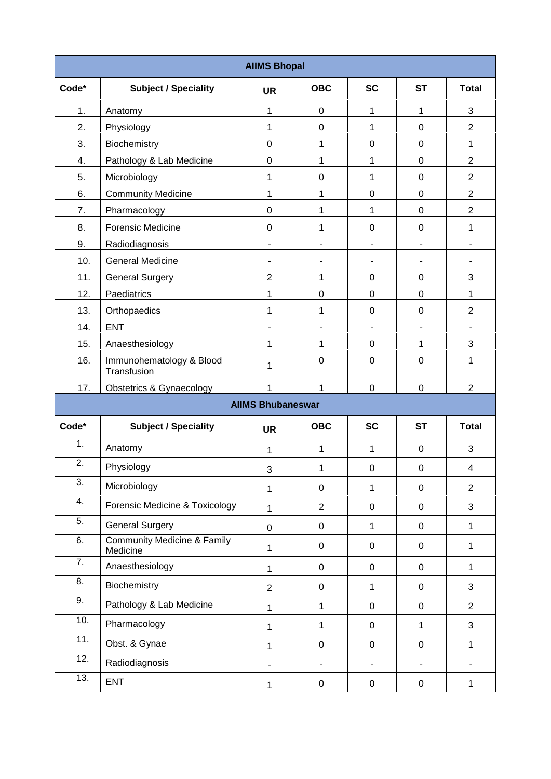| <b>AIIMS Bhopal</b> |                                                    |                          |                  |                          |                          |                          |
|---------------------|----------------------------------------------------|--------------------------|------------------|--------------------------|--------------------------|--------------------------|
| Code*               | <b>Subject / Speciality</b>                        | <b>UR</b>                | <b>OBC</b>       | <b>SC</b>                | <b>ST</b>                | <b>Total</b>             |
| 1.                  | Anatomy                                            | 1                        | $\mathbf 0$      | 1                        | 1                        | 3                        |
| 2.                  | Physiology                                         | 1                        | 0                | 1                        | 0                        | $\overline{2}$           |
| 3.                  | Biochemistry                                       | 0                        | 1                | 0                        | $\boldsymbol{0}$         | 1                        |
| 4.                  | Pathology & Lab Medicine                           | 0                        | 1                | 1                        | $\boldsymbol{0}$         | $\overline{2}$           |
| 5.                  | Microbiology                                       | 1                        | $\mathbf 0$      | 1                        | $\boldsymbol{0}$         | $\overline{2}$           |
| 6.                  | <b>Community Medicine</b>                          | 1                        | 1                | 0                        | 0                        | $\overline{2}$           |
| 7.                  | Pharmacology                                       | 0                        | 1                | 1                        | $\boldsymbol{0}$         | $\overline{2}$           |
| 8.                  | <b>Forensic Medicine</b>                           | 0                        | 1                | 0                        | $\boldsymbol{0}$         | 1                        |
| 9.                  | Radiodiagnosis                                     | $\overline{\phantom{a}}$ |                  | $\overline{\phantom{a}}$ | $\overline{\phantom{a}}$ | $\overline{\phantom{a}}$ |
| 10.                 | <b>General Medicine</b>                            | $\blacksquare$           | ٠                | $\blacksquare$           | $\blacksquare$           | ۰                        |
| 11.                 | <b>General Surgery</b>                             | $\overline{2}$           | 1                | 0                        | 0                        | 3                        |
| 12.                 | Paediatrics                                        | 1                        | 0                | 0                        | 0                        | $\mathbf 1$              |
| 13.                 | Orthopaedics                                       | 1                        | 1                | 0                        | $\boldsymbol{0}$         | $\overline{2}$           |
| 14.                 | <b>ENT</b>                                         | $\blacksquare$           |                  | $\overline{\phantom{a}}$ | $\overline{\phantom{a}}$ | $\overline{\phantom{a}}$ |
| 15.                 | Anaesthesiology                                    | 1                        | 1                | 0                        | 1                        | 3                        |
| 16.                 | Immunohematology & Blood<br>Transfusion            | 1                        | $\boldsymbol{0}$ | $\pmb{0}$                | $\boldsymbol{0}$         | 1                        |
| 17.                 | <b>Obstetrics &amp; Gynaecology</b>                | 1                        | 1                | 0                        | $\boldsymbol{0}$         | $\boldsymbol{2}$         |
|                     |                                                    | <b>AIIMS Bhubaneswar</b> |                  |                          |                          |                          |
| Code*               | <b>Subject / Speciality</b>                        | <b>UR</b>                | <b>OBC</b>       | <b>SC</b>                | <b>ST</b>                | <b>Total</b>             |
| 1.                  | Anatomy                                            | 1                        | 1                | 1                        | $\pmb{0}$                | 3                        |
| 2.                  | Physiology                                         | 3                        | 1                | $\pmb{0}$                | $\pmb{0}$                | $\overline{4}$           |
| 3.                  | Microbiology                                       | 1                        | $\mathbf 0$      | $\mathbf{1}$             | $\pmb{0}$                | $\overline{2}$           |
| 4.                  | Forensic Medicine & Toxicology                     | 1                        | $\overline{2}$   | $\pmb{0}$                | $\pmb{0}$                | $\mathfrak{S}$           |
| 5.                  | <b>General Surgery</b>                             | $\mathbf 0$              | $\mathbf 0$      | $\mathbf{1}$             | $\pmb{0}$                | $\mathbf 1$              |
| 6.                  | <b>Community Medicine &amp; Family</b><br>Medicine | 1                        | $\mathbf 0$      | $\pmb{0}$                | $\mathbf 0$              | $\mathbf 1$              |
| 7.                  | Anaesthesiology                                    | 1                        | $\mathbf 0$      | $\pmb{0}$                | $\mathbf 0$              | $\mathbf{1}$             |
| 8.                  | Biochemistry                                       | $\overline{2}$           | $\mathbf 0$      | $\mathbf{1}$             | $\boldsymbol{0}$         | 3                        |
| 9.                  | Pathology & Lab Medicine                           | 1                        | $\mathbf{1}$     | $\pmb{0}$                | $\pmb{0}$                | $\overline{2}$           |
| 10.                 | Pharmacology                                       | 1                        | $\mathbf{1}$     | $\pmb{0}$                | $\mathbf{1}$             | 3                        |
| 11.                 | Obst. & Gynae                                      | 1                        | $\pmb{0}$        | $\pmb{0}$                | $\boldsymbol{0}$         | 1                        |
| 12.                 | Radiodiagnosis                                     |                          |                  | $\overline{\phantom{a}}$ | $\blacksquare$           |                          |
| 13.                 | <b>ENT</b>                                         | $\mathbf{1}$             | $\mathbf 0$      | 0                        | 0                        | 1                        |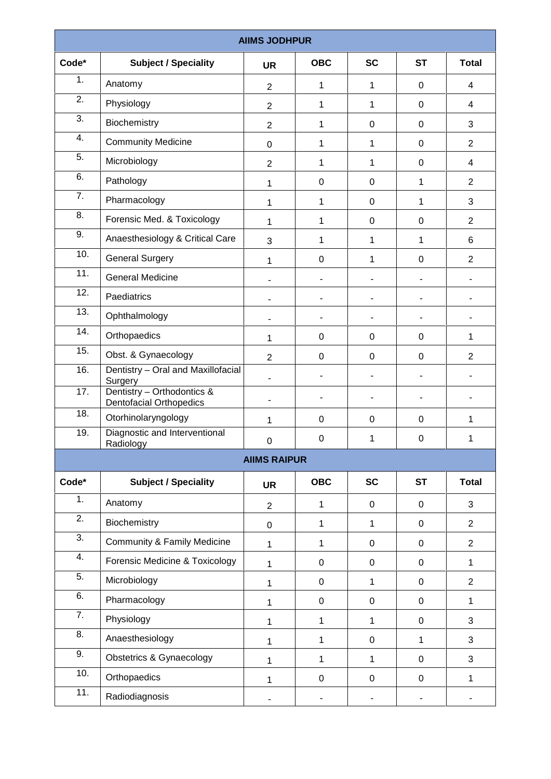|       |                                                                         | <b>AIIMS JODHPUR</b>     |              |                |                  |                |
|-------|-------------------------------------------------------------------------|--------------------------|--------------|----------------|------------------|----------------|
| Code* | <b>Subject / Speciality</b>                                             | <b>UR</b>                | <b>OBC</b>   | <b>SC</b>      | <b>ST</b>        | <b>Total</b>   |
| 1.    | Anatomy                                                                 | $\overline{2}$           | 1            | 1              | $\boldsymbol{0}$ | 4              |
| 2.    | Physiology                                                              | $\overline{2}$           | $\mathbf{1}$ | 1              | $\boldsymbol{0}$ | 4              |
| 3.    | Biochemistry                                                            | $\overline{2}$           | 1            | $\pmb{0}$      | $\mathbf 0$      | 3              |
| 4.    | <b>Community Medicine</b>                                               | $\pmb{0}$                | 1            | 1              | 0                | $\overline{2}$ |
| 5.    | Microbiology                                                            | $\overline{2}$           | 1            | 1              | $\pmb{0}$        | $\overline{4}$ |
| 6.    | Pathology                                                               | 1                        | $\pmb{0}$    | $\pmb{0}$      | $\mathbf{1}$     | $\overline{2}$ |
| 7.    | Pharmacology                                                            | 1                        | 1            | $\pmb{0}$      | 1                | 3              |
| 8.    | Forensic Med. & Toxicology                                              | 1                        | 1            | $\pmb{0}$      | $\boldsymbol{0}$ | $\overline{2}$ |
| 9.    | Anaesthesiology & Critical Care                                         | 3                        | 1            | 1              | $\mathbf{1}$     | 6              |
| 10.   | <b>General Surgery</b>                                                  | 1                        | $\pmb{0}$    | 1              | $\boldsymbol{0}$ | $\overline{2}$ |
| 11.   | <b>General Medicine</b>                                                 |                          |              | ۰              | ۰                | $\overline{a}$ |
| 12.   | Paediatrics                                                             |                          |              |                |                  |                |
| 13.   | Ophthalmology                                                           |                          |              | $\blacksquare$ | $\blacksquare$   | $\blacksquare$ |
| 14.   | Orthopaedics                                                            | 1                        | $\pmb{0}$    | $\pmb{0}$      | $\boldsymbol{0}$ | 1              |
| 15.   | Obst. & Gynaecology                                                     | $\overline{2}$           | $\pmb{0}$    | $\pmb{0}$      | $\boldsymbol{0}$ | $\overline{2}$ |
| 16.   | Dentistry - Oral and Maxillofacial                                      | $\overline{\phantom{a}}$ |              | ۰              |                  |                |
| 17.   | Surgery<br>Dentistry - Orthodontics &<br><b>Dentofacial Orthopedics</b> | ۰                        |              |                |                  |                |
| 18.   | Otorhinolaryngology                                                     | 1                        | $\mathbf 0$  | $\pmb{0}$      | $\boldsymbol{0}$ | 1              |
| 19.   | Diagnostic and Interventional<br>Radiology                              | $\pmb{0}$                | $\pmb{0}$    | 1              | $\pmb{0}$        | 1              |
|       |                                                                         | <b>AIIMS RAIPUR</b>      |              |                |                  |                |
| Code* | <b>Subject / Speciality</b>                                             | <b>UR</b>                | <b>OBC</b>   | <b>SC</b>      | <b>ST</b>        | <b>Total</b>   |
| 1.    | Anatomy                                                                 | $\overline{2}$           | 1            | $\pmb{0}$      | $\boldsymbol{0}$ | $\mathbf{3}$   |
| 2.    | Biochemistry                                                            | $\pmb{0}$                | 1            | 1              | $\mathbf 0$      | $\overline{2}$ |
| 3.    | <b>Community &amp; Family Medicine</b>                                  | 1                        | $\mathbf{1}$ | $\pmb{0}$      | $\pmb{0}$        | $\overline{2}$ |
| 4.    | Forensic Medicine & Toxicology                                          | 1                        | $\pmb{0}$    | $\pmb{0}$      | $\pmb{0}$        | 1              |
| 5.    | Microbiology                                                            | 1                        | $\mathbf 0$  | 1              | 0                | $\overline{2}$ |
| 6.    | Pharmacology                                                            | 1                        | $\pmb{0}$    | $\pmb{0}$      | $\pmb{0}$        | 1              |
| 7.    | Physiology                                                              | 1                        | $\mathbf{1}$ | 1              | $\pmb{0}$        | $\mathbf{3}$   |
| 8.    | Anaesthesiology                                                         | 1                        | 1            | $\pmb{0}$      | $\mathbf{1}$     | 3              |
| 9.    | <b>Obstetrics &amp; Gynaecology</b>                                     | 1                        | 1            | 1              | $\pmb{0}$        | $\mathbf{3}$   |
| 10.   | Orthopaedics                                                            | 1                        | $\mathsf 0$  | $\pmb{0}$      | $\pmb{0}$        | 1              |
| 11.   | Radiodiagnosis                                                          | -                        |              | ۰              | $\blacksquare$   |                |
|       |                                                                         |                          |              |                |                  |                |